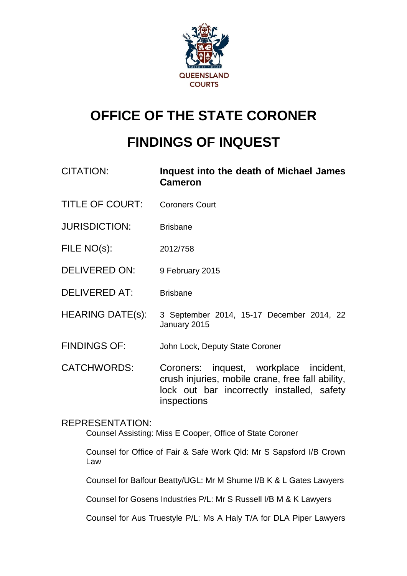

# **OFFICE OF THE STATE CORONER**

# **FINDINGS OF INQUEST**

- CITATION: **Inquest into the death of Michael James Cameron**
- TITLE OF COURT: Coroners Court
- JURISDICTION: Brisbane
- FILE NO(s): 2012/758
- DELIVERED ON: 9 February 2015
- DELIVERED AT: Brisbane
- HEARING DATE(s): 3 September 2014, 15-17 December 2014, 22 January 2015
- FINDINGS OF: John Lock, Deputy State Coroner
- CATCHWORDS: Coroners: inquest, workplace incident, crush injuries, mobile crane, free fall ability, lock out bar incorrectly installed, safety inspections

## REPRESENTATION:

Counsel Assisting: Miss E Cooper, Office of State Coroner

Counsel for Office of Fair & Safe Work Qld: Mr S Sapsford I/B Crown Law

Counsel for Balfour Beatty/UGL: Mr M Shume I/B K & L Gates Lawyers

Counsel for Gosens Industries P/L: Mr S Russell I/B M & K Lawyers

Counsel for Aus Truestyle P/L: Ms A Haly T/A for DLA Piper Lawyers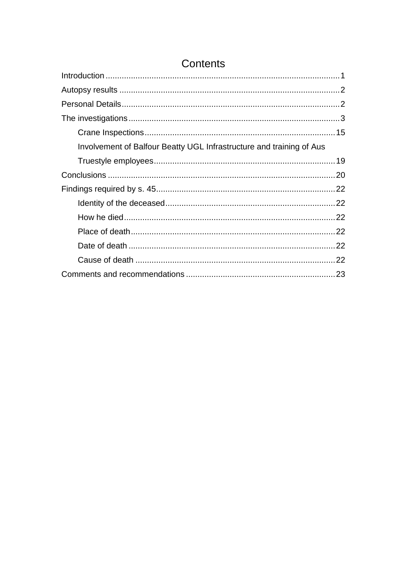| Contents                                                             |  |
|----------------------------------------------------------------------|--|
|                                                                      |  |
|                                                                      |  |
|                                                                      |  |
|                                                                      |  |
|                                                                      |  |
| Involvement of Balfour Beatty UGL Infrastructure and training of Aus |  |
|                                                                      |  |
|                                                                      |  |
|                                                                      |  |
|                                                                      |  |
|                                                                      |  |
|                                                                      |  |
|                                                                      |  |
|                                                                      |  |
|                                                                      |  |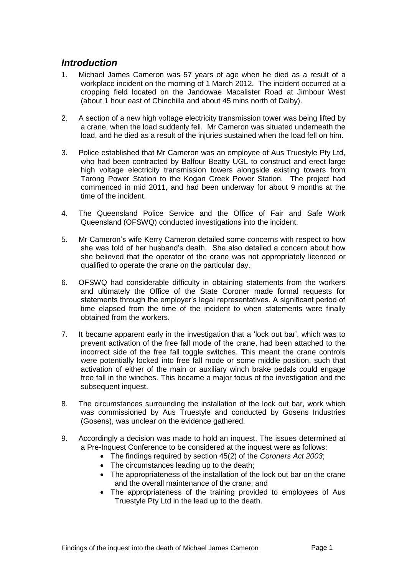# <span id="page-2-0"></span>*Introduction*

- 1. Michael James Cameron was 57 years of age when he died as a result of a workplace incident on the morning of 1 March 2012. The incident occurred at a cropping field located on the Jandowae Macalister Road at Jimbour West (about 1 hour east of Chinchilla and about 45 mins north of Dalby).
- 2. A section of a new high voltage electricity transmission tower was being lifted by a crane, when the load suddenly fell. Mr Cameron was situated underneath the load, and he died as a result of the injuries sustained when the load fell on him.
- 3. Police established that Mr Cameron was an employee of Aus Truestyle Pty Ltd, who had been contracted by Balfour Beatty UGL to construct and erect large high voltage electricity transmission towers alongside existing towers from Tarong Power Station to the Kogan Creek Power Station. The project had commenced in mid 2011, and had been underway for about 9 months at the time of the incident.
- 4. The Queensland Police Service and the Office of Fair and Safe Work Queensland (OFSWQ) conducted investigations into the incident.
- 5. Mr Cameron's wife Kerry Cameron detailed some concerns with respect to how she was told of her husband's death. She also detailed a concern about how she believed that the operator of the crane was not appropriately licenced or qualified to operate the crane on the particular day.
- 6. OFSWQ had considerable difficulty in obtaining statements from the workers and ultimately the Office of the State Coroner made formal requests for statements through the employer's legal representatives. A significant period of time elapsed from the time of the incident to when statements were finally obtained from the workers.
- 7. It became apparent early in the investigation that a 'lock out bar', which was to prevent activation of the free fall mode of the crane, had been attached to the incorrect side of the free fall toggle switches. This meant the crane controls were potentially locked into free fall mode or some middle position, such that activation of either of the main or auxiliary winch brake pedals could engage free fall in the winches. This became a major focus of the investigation and the subsequent inquest.
- 8. The circumstances surrounding the installation of the lock out bar, work which was commissioned by Aus Truestyle and conducted by Gosens Industries (Gosens), was unclear on the evidence gathered.
- 9. Accordingly a decision was made to hold an inquest. The issues determined at a Pre-Inquest Conference to be considered at the inquest were as follows:
	- The findings required by section 45(2) of the *Coroners Act 2003*;
	- The circumstances leading up to the death;
	- The appropriateness of the installation of the lock out bar on the crane and the overall maintenance of the crane; and
	- The appropriateness of the training provided to employees of Aus Truestyle Pty Ltd in the lead up to the death.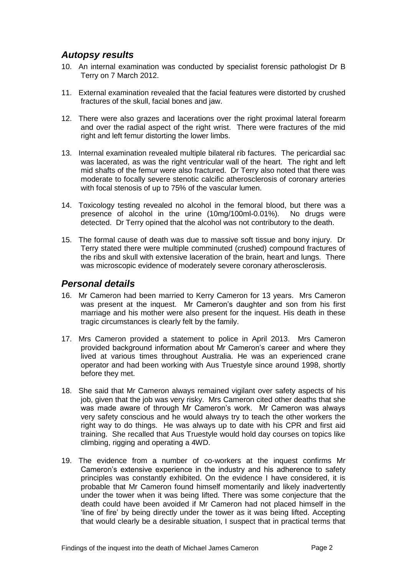# <span id="page-3-0"></span>*Autopsy results*

- 10. An internal examination was conducted by specialist forensic pathologist Dr B Terry on 7 March 2012.
- 11. External examination revealed that the facial features were distorted by crushed fractures of the skull, facial bones and jaw.
- 12. There were also grazes and lacerations over the right proximal lateral forearm and over the radial aspect of the right wrist. There were fractures of the mid right and left femur distorting the lower limbs.
- 13. Internal examination revealed multiple bilateral rib factures. The pericardial sac was lacerated, as was the right ventricular wall of the heart. The right and left mid shafts of the femur were also fractured. Dr Terry also noted that there was moderate to focally severe stenotic calcific atherosclerosis of coronary arteries with focal stenosis of up to 75% of the vascular lumen.
- 14. Toxicology testing revealed no alcohol in the femoral blood, but there was a presence of alcohol in the urine (10mg/100ml-0.01%). No drugs were detected. Dr Terry opined that the alcohol was not contributory to the death.
- 15. The formal cause of death was due to massive soft tissue and bony injury. Dr Terry stated there were multiple comminuted (crushed) compound fractures of the ribs and skull with extensive laceration of the brain, heart and lungs. There was microscopic evidence of moderately severe coronary atherosclerosis.

# <span id="page-3-1"></span>*Personal details*

- 16. Mr Cameron had been married to Kerry Cameron for 13 years. Mrs Cameron was present at the inquest. Mr Cameron's daughter and son from his first marriage and his mother were also present for the inquest. His death in these tragic circumstances is clearly felt by the family.
- 17. Mrs Cameron provided a statement to police in April 2013. Mrs Cameron provided background information about Mr Cameron's career and where they lived at various times throughout Australia. He was an experienced crane operator and had been working with Aus Truestyle since around 1998, shortly before they met.
- 18. She said that Mr Cameron always remained vigilant over safety aspects of his job, given that the job was very risky. Mrs Cameron cited other deaths that she was made aware of through Mr Cameron's work. Mr Cameron was always very safety conscious and he would always try to teach the other workers the right way to do things. He was always up to date with his CPR and first aid training. She recalled that Aus Truestyle would hold day courses on topics like climbing, rigging and operating a 4WD.
- 19. The evidence from a number of co-workers at the inquest confirms Mr Cameron's extensive experience in the industry and his adherence to safety principles was constantly exhibited. On the evidence I have considered, it is probable that Mr Cameron found himself momentarily and likely inadvertently under the tower when it was being lifted. There was some conjecture that the death could have been avoided if Mr Cameron had not placed himself in the 'line of fire' by being directly under the tower as it was being lifted. Accepting that would clearly be a desirable situation, I suspect that in practical terms that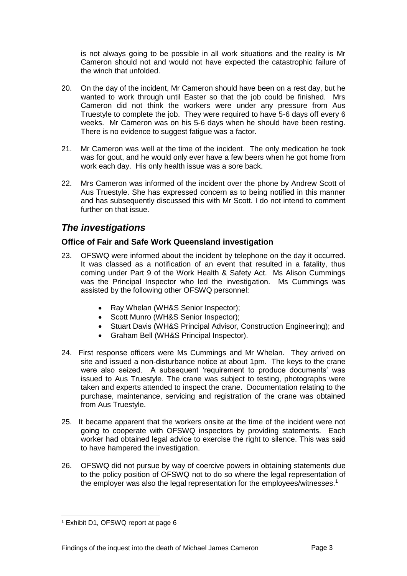is not always going to be possible in all work situations and the reality is Mr Cameron should not and would not have expected the catastrophic failure of the winch that unfolded.

- 20. On the day of the incident, Mr Cameron should have been on a rest day, but he wanted to work through until Easter so that the job could be finished. Mrs Cameron did not think the workers were under any pressure from Aus Truestyle to complete the job. They were required to have 5-6 days off every 6 weeks. Mr Cameron was on his 5-6 days when he should have been resting. There is no evidence to suggest fatigue was a factor.
- 21. Mr Cameron was well at the time of the incident. The only medication he took was for gout, and he would only ever have a few beers when he got home from work each day. His only health issue was a sore back.
- 22. Mrs Cameron was informed of the incident over the phone by Andrew Scott of Aus Truestyle. She has expressed concern as to being notified in this manner and has subsequently discussed this with Mr Scott. I do not intend to comment further on that issue.

# <span id="page-4-0"></span>*The investigations*

## **Office of Fair and Safe Work Queensland investigation**

- 23. OFSWQ were informed about the incident by telephone on the day it occurred. It was classed as a notification of an event that resulted in a fatality, thus coming under Part 9 of the Work Health & Safety Act. Ms Alison Cummings was the Principal Inspector who led the investigation. Ms Cummings was assisted by the following other OFSWQ personnel:
	- Ray Whelan (WH&S Senior Inspector);
	- Scott Munro (WH&S Senior Inspector);
	- Stuart Davis (WH&S Principal Advisor, Construction Engineering); and
	- Graham Bell (WH&S Principal Inspector).
- 24. First response officers were Ms Cummings and Mr Whelan. They arrived on site and issued a non-disturbance notice at about 1pm. The keys to the crane were also seized. A subsequent 'requirement to produce documents' was issued to Aus Truestyle. The crane was subject to testing, photographs were taken and experts attended to inspect the crane. Documentation relating to the purchase, maintenance, servicing and registration of the crane was obtained from Aus Truestyle.
- 25. It became apparent that the workers onsite at the time of the incident were not going to cooperate with OFSWQ inspectors by providing statements. Each worker had obtained legal advice to exercise the right to silence. This was said to have hampered the investigation.
- 26. OFSWQ did not pursue by way of coercive powers in obtaining statements due to the policy position of OFSWQ not to do so where the legal representation of the employer was also the legal representation for the employees/witnesses.<sup>1</sup>

l <sup>1</sup> Exhibit D1, OFSWQ report at page 6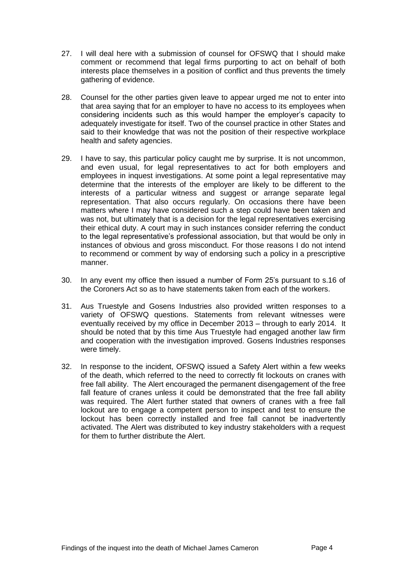- 27. I will deal here with a submission of counsel for OFSWQ that I should make comment or recommend that legal firms purporting to act on behalf of both interests place themselves in a position of conflict and thus prevents the timely gathering of evidence.
- 28. Counsel for the other parties given leave to appear urged me not to enter into that area saying that for an employer to have no access to its employees when considering incidents such as this would hamper the employer's capacity to adequately investigate for itself. Two of the counsel practice in other States and said to their knowledge that was not the position of their respective workplace health and safety agencies.
- 29. I have to say, this particular policy caught me by surprise. It is not uncommon, and even usual, for legal representatives to act for both employers and employees in inquest investigations. At some point a legal representative may determine that the interests of the employer are likely to be different to the interests of a particular witness and suggest or arrange separate legal representation. That also occurs regularly. On occasions there have been matters where I may have considered such a step could have been taken and was not, but ultimately that is a decision for the legal representatives exercising their ethical duty. A court may in such instances consider referring the conduct to the legal representative's professional association, but that would be only in instances of obvious and gross misconduct. For those reasons I do not intend to recommend or comment by way of endorsing such a policy in a prescriptive manner.
- 30. In any event my office then issued a number of Form 25's pursuant to s.16 of the Coroners Act so as to have statements taken from each of the workers.
- 31. Aus Truestyle and Gosens Industries also provided written responses to a variety of OFSWQ questions. Statements from relevant witnesses were eventually received by my office in December 2013 – through to early 2014. It should be noted that by this time Aus Truestyle had engaged another law firm and cooperation with the investigation improved. Gosens Industries responses were timely.
- 32. In response to the incident, OFSWQ issued a Safety Alert within a few weeks of the death, which referred to the need to correctly fit lockouts on cranes with free fall ability. The Alert encouraged the permanent disengagement of the free fall feature of cranes unless it could be demonstrated that the free fall ability was required. The Alert further stated that owners of cranes with a free fall lockout are to engage a competent person to inspect and test to ensure the lockout has been correctly installed and free fall cannot be inadvertently activated. The Alert was distributed to key industry stakeholders with a request for them to further distribute the Alert.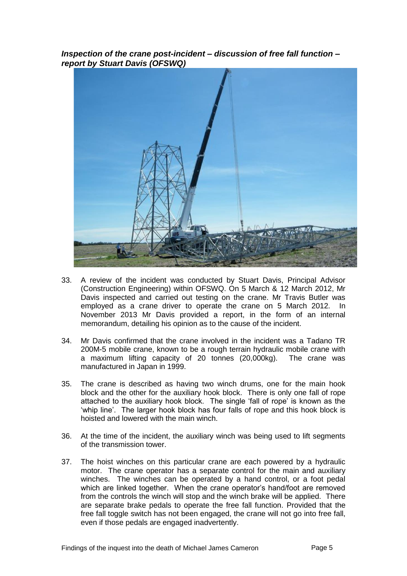*Inspection of the crane post-incident – discussion of free fall function – report by Stuart Davis (OFSWQ)*



- 33. A review of the incident was conducted by Stuart Davis, Principal Advisor (Construction Engineering) within OFSWQ. On 5 March & 12 March 2012, Mr Davis inspected and carried out testing on the crane. Mr Travis Butler was employed as a crane driver to operate the crane on 5 March 2012. In November 2013 Mr Davis provided a report, in the form of an internal memorandum, detailing his opinion as to the cause of the incident.
- 34. Mr Davis confirmed that the crane involved in the incident was a Tadano TR 200M-5 mobile crane, known to be a rough terrain hydraulic mobile crane with a maximum lifting capacity of 20 tonnes (20,000kg). The crane was manufactured in Japan in 1999.
- 35. The crane is described as having two winch drums, one for the main hook block and the other for the auxiliary hook block. There is only one fall of rope attached to the auxiliary hook block. The single 'fall of rope' is known as the 'whip line'. The larger hook block has four falls of rope and this hook block is hoisted and lowered with the main winch.
- 36. At the time of the incident, the auxiliary winch was being used to lift segments of the transmission tower.
- 37. The hoist winches on this particular crane are each powered by a hydraulic motor. The crane operator has a separate control for the main and auxiliary winches. The winches can be operated by a hand control, or a foot pedal which are linked together. When the crane operator's hand/foot are removed from the controls the winch will stop and the winch brake will be applied. There are separate brake pedals to operate the free fall function. Provided that the free fall toggle switch has not been engaged, the crane will not go into free fall, even if those pedals are engaged inadvertently.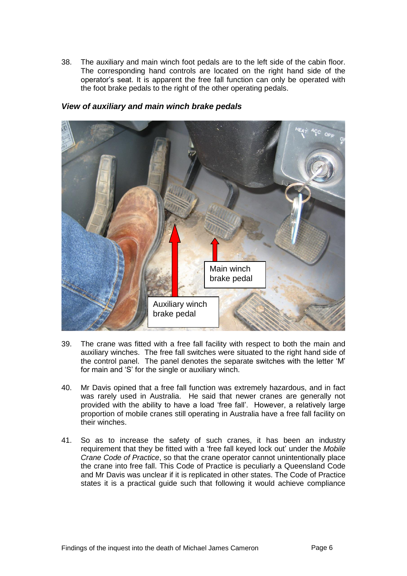38. The auxiliary and main winch foot pedals are to the left side of the cabin floor. The corresponding hand controls are located on the right hand side of the operator's seat. It is apparent the free fall function can only be operated with the foot brake pedals to the right of the other operating pedals.



#### *View of auxiliary and main winch brake pedals*

- 39. The crane was fitted with a free fall facility with respect to both the main and auxiliary winches. The free fall switches were situated to the right hand side of the control panel. The panel denotes the separate switches with the letter 'M' for main and 'S' for the single or auxiliary winch.
- 40. Mr Davis opined that a free fall function was extremely hazardous, and in fact was rarely used in Australia. He said that newer cranes are generally not provided with the ability to have a load 'free fall'. However, a relatively large proportion of mobile cranes still operating in Australia have a free fall facility on their winches.
- 41. So as to increase the safety of such cranes, it has been an industry requirement that they be fitted with a 'free fall keyed lock out' under the *Mobile Crane Code of Practice*, so that the crane operator cannot unintentionally place the crane into free fall. This Code of Practice is peculiarly a Queensland Code and Mr Davis was unclear if it is replicated in other states. The Code of Practice states it is a practical guide such that following it would achieve compliance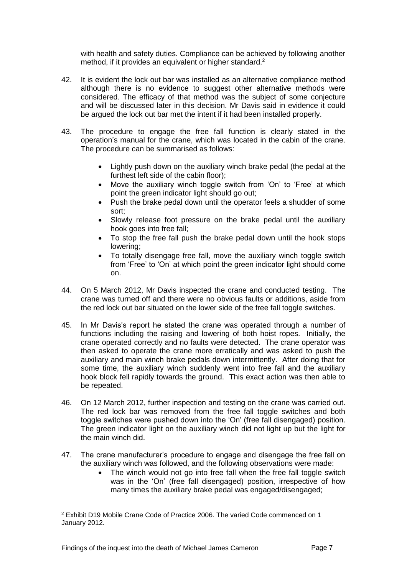with health and safety duties. Compliance can be achieved by following another method, if it provides an equivalent or higher standard.<sup>2</sup>

- 42. It is evident the lock out bar was installed as an alternative compliance method although there is no evidence to suggest other alternative methods were considered. The efficacy of that method was the subject of some conjecture and will be discussed later in this decision. Mr Davis said in evidence it could be argued the lock out bar met the intent if it had been installed properly.
- 43. The procedure to engage the free fall function is clearly stated in the operation's manual for the crane, which was located in the cabin of the crane. The procedure can be summarised as follows:
	- Lightly push down on the auxiliary winch brake pedal (the pedal at the furthest left side of the cabin floor);
	- Move the auxiliary winch toggle switch from 'On' to 'Free' at which point the green indicator light should go out;
	- Push the brake pedal down until the operator feels a shudder of some sort;
	- Slowly release foot pressure on the brake pedal until the auxiliary hook goes into free fall;
	- To stop the free fall push the brake pedal down until the hook stops lowering;
	- To totally disengage free fall, move the auxiliary winch toggle switch from 'Free' to 'On' at which point the green indicator light should come on.
- 44. On 5 March 2012, Mr Davis inspected the crane and conducted testing. The crane was turned off and there were no obvious faults or additions, aside from the red lock out bar situated on the lower side of the free fall toggle switches.
- 45. In Mr Davis's report he stated the crane was operated through a number of functions including the raising and lowering of both hoist ropes. Initially, the crane operated correctly and no faults were detected. The crane operator was then asked to operate the crane more erratically and was asked to push the auxiliary and main winch brake pedals down intermittently. After doing that for some time, the auxiliary winch suddenly went into free fall and the auxiliary hook block fell rapidly towards the ground. This exact action was then able to be repeated.
- 46. On 12 March 2012, further inspection and testing on the crane was carried out. The red lock bar was removed from the free fall toggle switches and both toggle switches were pushed down into the 'On' (free fall disengaged) position. The green indicator light on the auxiliary winch did not light up but the light for the main winch did.
- 47. The crane manufacturer's procedure to engage and disengage the free fall on the auxiliary winch was followed, and the following observations were made:
	- The winch would not go into free fall when the free fall toggle switch was in the 'On' (free fall disengaged) position, irrespective of how many times the auxiliary brake pedal was engaged/disengaged;

<sup>2</sup> Exhibit D19 Mobile Crane Code of Practice 2006. The varied Code commenced on 1 January 2012.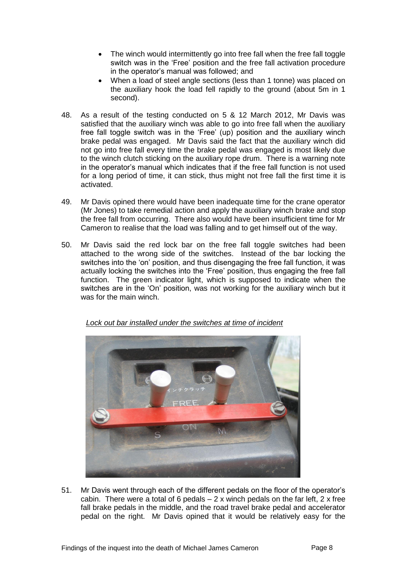- The winch would intermittently go into free fall when the free fall toggle switch was in the 'Free' position and the free fall activation procedure in the operator's manual was followed; and
- When a load of steel angle sections (less than 1 tonne) was placed on the auxiliary hook the load fell rapidly to the ground (about 5m in 1 second).
- 48. As a result of the testing conducted on 5 & 12 March 2012, Mr Davis was satisfied that the auxiliary winch was able to go into free fall when the auxiliary free fall toggle switch was in the 'Free' (up) position and the auxiliary winch brake pedal was engaged. Mr Davis said the fact that the auxiliary winch did not go into free fall every time the brake pedal was engaged is most likely due to the winch clutch sticking on the auxiliary rope drum. There is a warning note in the operator's manual which indicates that if the free fall function is not used for a long period of time, it can stick, thus might not free fall the first time it is activated.
- 49. Mr Davis opined there would have been inadequate time for the crane operator (Mr Jones) to take remedial action and apply the auxiliary winch brake and stop the free fall from occurring. There also would have been insufficient time for Mr Cameron to realise that the load was falling and to get himself out of the way.
- 50. Mr Davis said the red lock bar on the free fall toggle switches had been attached to the wrong side of the switches. Instead of the bar locking the switches into the 'on' position, and thus disengaging the free fall function, it was actually locking the switches into the 'Free' position, thus engaging the free fall function. The green indicator light, which is supposed to indicate when the switches are in the 'On' position, was not working for the auxiliary winch but it was for the main winch.



*Lock out bar installed under the switches at time of incident*

51. Mr Davis went through each of the different pedals on the floor of the operator's cabin. There were a total of 6 pedals  $-2x$  winch pedals on the far left, 2 x free fall brake pedals in the middle, and the road travel brake pedal and accelerator pedal on the right. Mr Davis opined that it would be relatively easy for the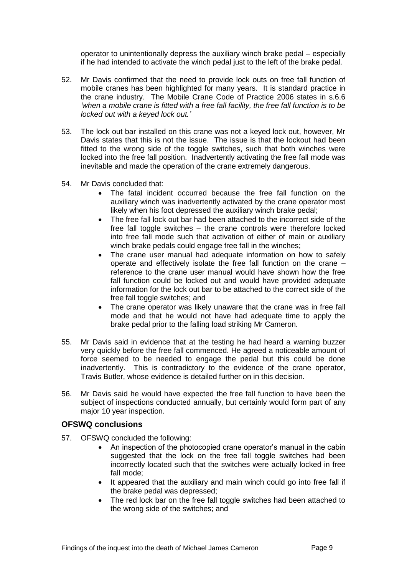operator to unintentionally depress the auxiliary winch brake pedal – especially if he had intended to activate the winch pedal just to the left of the brake pedal.

- 52. Mr Davis confirmed that the need to provide lock outs on free fall function of mobile cranes has been highlighted for many years. It is standard practice in the crane industry. The Mobile Crane Code of Practice 2006 states in s.6.6 *'when a mobile crane is fitted with a free fall facility, the free fall function is to be locked out with a keyed lock out.'*
- 53. The lock out bar installed on this crane was not a keyed lock out, however, Mr Davis states that this is not the issue. The issue is that the lockout had been fitted to the wrong side of the toggle switches, such that both winches were locked into the free fall position. Inadvertently activating the free fall mode was inevitable and made the operation of the crane extremely dangerous.
- 54. Mr Davis concluded that:
	- The fatal incident occurred because the free fall function on the auxiliary winch was inadvertently activated by the crane operator most likely when his foot depressed the auxiliary winch brake pedal;
	- The free fall lock out bar had been attached to the incorrect side of the free fall toggle switches – the crane controls were therefore locked into free fall mode such that activation of either of main or auxiliary winch brake pedals could engage free fall in the winches;
	- The crane user manual had adequate information on how to safely operate and effectively isolate the free fall function on the crane – reference to the crane user manual would have shown how the free fall function could be locked out and would have provided adequate information for the lock out bar to be attached to the correct side of the free fall toggle switches; and
	- The crane operator was likely unaware that the crane was in free fall mode and that he would not have had adequate time to apply the brake pedal prior to the falling load striking Mr Cameron.
- 55. Mr Davis said in evidence that at the testing he had heard a warning buzzer very quickly before the free fall commenced. He agreed a noticeable amount of force seemed to be needed to engage the pedal but this could be done inadvertently. This is contradictory to the evidence of the crane operator, Travis Butler, whose evidence is detailed further on in this decision.
- 56. Mr Davis said he would have expected the free fall function to have been the subject of inspections conducted annually, but certainly would form part of any major 10 year inspection.

#### **OFSWQ conclusions**

- 57. OFSWQ concluded the following:
	- An inspection of the photocopied crane operator's manual in the cabin suggested that the lock on the free fall toggle switches had been incorrectly located such that the switches were actually locked in free fall mode;
	- It appeared that the auxiliary and main winch could go into free fall if the brake pedal was depressed;
	- The red lock bar on the free fall toggle switches had been attached to the wrong side of the switches; and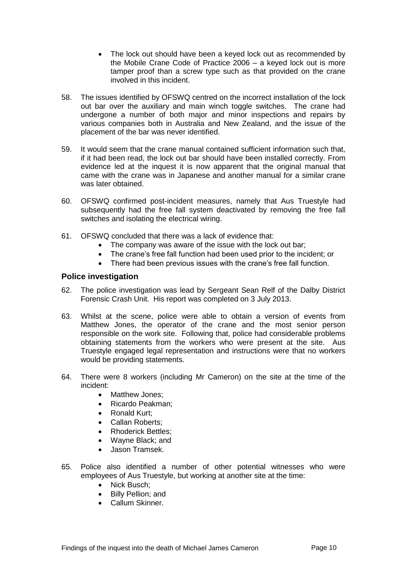- The lock out should have been a keyed lock out as recommended by the Mobile Crane Code of Practice 2006 – a keyed lock out is more tamper proof than a screw type such as that provided on the crane involved in this incident.
- 58. The issues identified by OFSWQ centred on the incorrect installation of the lock out bar over the auxiliary and main winch toggle switches. The crane had undergone a number of both major and minor inspections and repairs by various companies both in Australia and New Zealand, and the issue of the placement of the bar was never identified.
- 59. It would seem that the crane manual contained sufficient information such that, if it had been read, the lock out bar should have been installed correctly. From evidence led at the inquest it is now apparent that the original manual that came with the crane was in Japanese and another manual for a similar crane was later obtained.
- 60. OFSWQ confirmed post-incident measures, namely that Aus Truestyle had subsequently had the free fall system deactivated by removing the free fall switches and isolating the electrical wiring.
- 61. OFSWQ concluded that there was a lack of evidence that:
	- The company was aware of the issue with the lock out bar;
	- The crane's free fall function had been used prior to the incident; or
	- There had been previous issues with the crane's free fall function.

#### **Police investigation**

- 62. The police investigation was lead by Sergeant Sean Relf of the Dalby District Forensic Crash Unit. His report was completed on 3 July 2013.
- 63. Whilst at the scene, police were able to obtain a version of events from Matthew Jones, the operator of the crane and the most senior person responsible on the work site. Following that, police had considerable problems obtaining statements from the workers who were present at the site. Aus Truestyle engaged legal representation and instructions were that no workers would be providing statements.
- 64. There were 8 workers (including Mr Cameron) on the site at the time of the incident:
	- Matthew Jones:
	- Ricardo Peakman:
	- Ronald Kurt:
	- Callan Roberts:
	- Rhoderick Bettles:
	- Wayne Black; and
	- Jason Tramsek.
- 65. Police also identified a number of other potential witnesses who were employees of Aus Truestyle, but working at another site at the time:
	- Nick Busch;
	- Billy Pellion; and
	- Callum Skinner.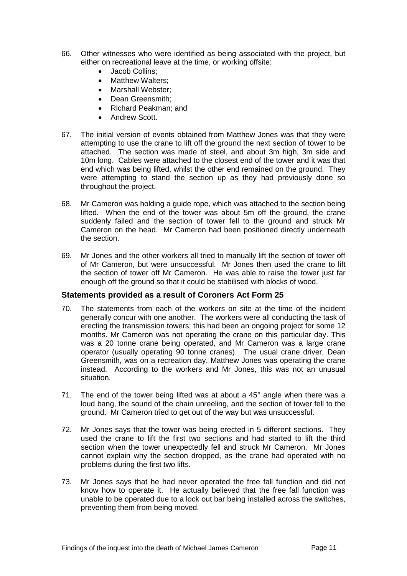- 66. Other witnesses who were identified as being associated with the project, but either on recreational leave at the time, or working offsite:
	- Jacob Collins;
	- Matthew Walters:
	- Marshall Webster:
	- Dean Greensmith;
	- Richard Peakman; and
	- Andrew Scott.
- 67. The initial version of events obtained from Matthew Jones was that they were attempting to use the crane to lift off the ground the next section of tower to be attached. The section was made of steel, and about 3m high, 3m side and 10m long. Cables were attached to the closest end of the tower and it was that end which was being lifted, whilst the other end remained on the ground. They were attempting to stand the section up as they had previously done so throughout the project.
- 68. Mr Cameron was holding a guide rope, which was attached to the section being lifted. When the end of the tower was about 5m off the ground, the crane suddenly failed and the section of tower fell to the ground and struck Mr Cameron on the head. Mr Cameron had been positioned directly underneath the section.
- 69. Mr Jones and the other workers all tried to manually lift the section of tower off of Mr Cameron, but were unsuccessful. Mr Jones then used the crane to lift the section of tower off Mr Cameron. He was able to raise the tower just far enough off the ground so that it could be stabilised with blocks of wood.

#### **Statements provided as a result of Coroners Act Form 25**

- 70. The statements from each of the workers on site at the time of the incident generally concur with one another. The workers were all conducting the task of erecting the transmission towers; this had been an ongoing project for some 12 months. Mr Cameron was not operating the crane on this particular day. This was a 20 tonne crane being operated, and Mr Cameron was a large crane operator (usually operating 90 tonne cranes). The usual crane driver, Dean Greensmith, was on a recreation day. Matthew Jones was operating the crane instead. According to the workers and Mr Jones, this was not an unusual situation.
- 71. The end of the tower being lifted was at about a 45° angle when there was a loud bang, the sound of the chain unreeling, and the section of tower fell to the ground. Mr Cameron tried to get out of the way but was unsuccessful.
- 72. Mr Jones says that the tower was being erected in 5 different sections. They used the crane to lift the first two sections and had started to lift the third section when the tower unexpectedly fell and struck Mr Cameron. Mr Jones cannot explain why the section dropped, as the crane had operated with no problems during the first two lifts.
- 73. Mr Jones says that he had never operated the free fall function and did not know how to operate it. He actually believed that the free fall function was unable to be operated due to a lock out bar being installed across the switches, preventing them from being moved.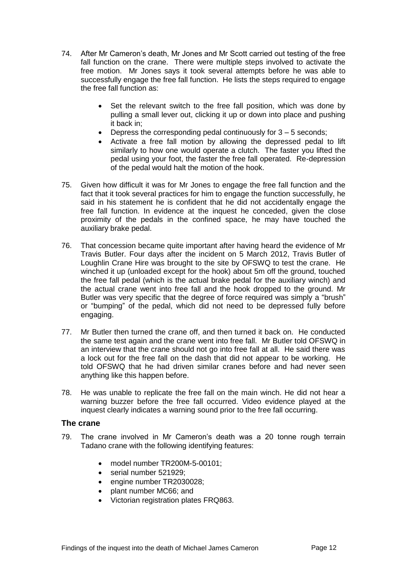- 74. After Mr Cameron's death, Mr Jones and Mr Scott carried out testing of the free fall function on the crane. There were multiple steps involved to activate the free motion. Mr Jones says it took several attempts before he was able to successfully engage the free fall function. He lists the steps required to engage the free fall function as:
	- Set the relevant switch to the free fall position, which was done by pulling a small lever out, clicking it up or down into place and pushing it back in;
	- Depress the corresponding pedal continuously for 3 5 seconds;
	- Activate a free fall motion by allowing the depressed pedal to lift similarly to how one would operate a clutch. The faster you lifted the pedal using your foot, the faster the free fall operated. Re-depression of the pedal would halt the motion of the hook.
- 75. Given how difficult it was for Mr Jones to engage the free fall function and the fact that it took several practices for him to engage the function successfully, he said in his statement he is confident that he did not accidentally engage the free fall function. In evidence at the inquest he conceded, given the close proximity of the pedals in the confined space, he may have touched the auxiliary brake pedal.
- 76. That concession became quite important after having heard the evidence of Mr Travis Butler. Four days after the incident on 5 March 2012, Travis Butler of Loughlin Crane Hire was brought to the site by OFSWQ to test the crane. He winched it up (unloaded except for the hook) about 5m off the ground, touched the free fall pedal (which is the actual brake pedal for the auxiliary winch) and the actual crane went into free fall and the hook dropped to the ground. Mr Butler was very specific that the degree of force required was simply a "brush" or "bumping" of the pedal, which did not need to be depressed fully before engaging.
- 77. Mr Butler then turned the crane off, and then turned it back on. He conducted the same test again and the crane went into free fall. Mr Butler told OFSWQ in an interview that the crane should not go into free fall at all. He said there was a lock out for the free fall on the dash that did not appear to be working. He told OFSWQ that he had driven similar cranes before and had never seen anything like this happen before.
- 78. He was unable to replicate the free fall on the main winch. He did not hear a warning buzzer before the free fall occurred. Video evidence played at the inquest clearly indicates a warning sound prior to the free fall occurring.

#### **The crane**

- 79. The crane involved in Mr Cameron's death was a 20 tonne rough terrain Tadano crane with the following identifying features:
	- $\bullet$  model number TR200M-5-00101;
	- serial number 521929:
	- engine number TR2030028:
	- plant number MC66: and
	- Victorian registration plates FRQ863.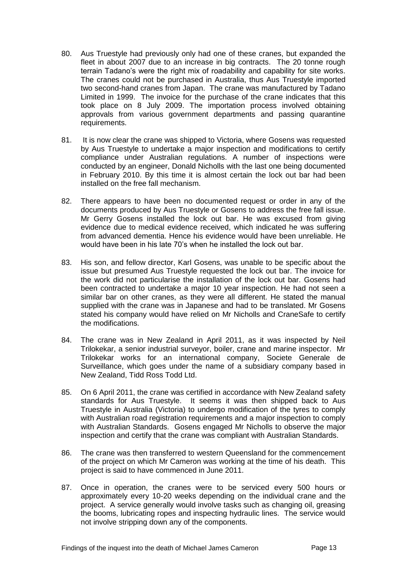- 80. Aus Truestyle had previously only had one of these cranes, but expanded the fleet in about 2007 due to an increase in big contracts. The 20 tonne rough terrain Tadano's were the right mix of roadability and capability for site works. The cranes could not be purchased in Australia, thus Aus Truestyle imported two second-hand cranes from Japan. The crane was manufactured by Tadano Limited in 1999. The invoice for the purchase of the crane indicates that this took place on 8 July 2009. The importation process involved obtaining approvals from various government departments and passing quarantine requirements.
- 81. It is now clear the crane was shipped to Victoria, where Gosens was requested by Aus Truestyle to undertake a major inspection and modifications to certify compliance under Australian regulations. A number of inspections were conducted by an engineer, Donald Nicholls with the last one being documented in February 2010. By this time it is almost certain the lock out bar had been installed on the free fall mechanism.
- 82. There appears to have been no documented request or order in any of the documents produced by Aus Truestyle or Gosens to address the free fall issue. Mr Gerry Gosens installed the lock out bar. He was excused from giving evidence due to medical evidence received, which indicated he was suffering from advanced dementia. Hence his evidence would have been unreliable. He would have been in his late 70's when he installed the lock out bar.
- 83. His son, and fellow director, Karl Gosens, was unable to be specific about the issue but presumed Aus Truestyle requested the lock out bar. The invoice for the work did not particularise the installation of the lock out bar. Gosens had been contracted to undertake a major 10 year inspection. He had not seen a similar bar on other cranes, as they were all different. He stated the manual supplied with the crane was in Japanese and had to be translated. Mr Gosens stated his company would have relied on Mr Nicholls and CraneSafe to certify the modifications.
- 84. The crane was in New Zealand in April 2011, as it was inspected by Neil Trilokekar, a senior industrial surveyor, boiler, crane and marine inspector. Mr Trilokekar works for an international company, Societe Generale de Surveillance, which goes under the name of a subsidiary company based in New Zealand, Tidd Ross Todd Ltd.
- 85. On 6 April 2011, the crane was certified in accordance with New Zealand safety standards for Aus Truestyle. It seems it was then shipped back to Aus Truestyle in Australia (Victoria) to undergo modification of the tyres to comply with Australian road registration requirements and a major inspection to comply with Australian Standards. Gosens engaged Mr Nicholls to observe the major inspection and certify that the crane was compliant with Australian Standards.
- 86. The crane was then transferred to western Queensland for the commencement of the project on which Mr Cameron was working at the time of his death. This project is said to have commenced in June 2011.
- 87. Once in operation, the cranes were to be serviced every 500 hours or approximately every 10-20 weeks depending on the individual crane and the project. A service generally would involve tasks such as changing oil, greasing the booms, lubricating ropes and inspecting hydraulic lines. The service would not involve stripping down any of the components.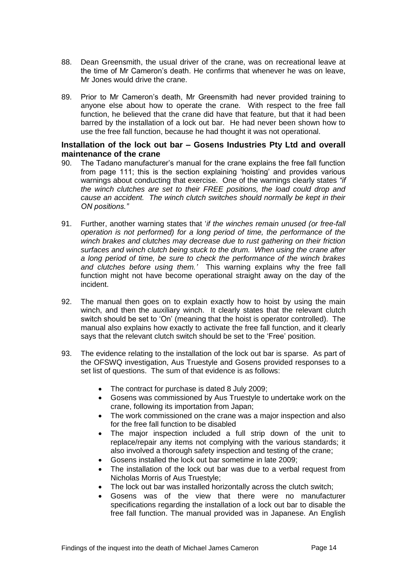- 88. Dean Greensmith, the usual driver of the crane, was on recreational leave at the time of Mr Cameron's death. He confirms that whenever he was on leave, Mr Jones would drive the crane.
- 89. Prior to Mr Cameron's death, Mr Greensmith had never provided training to anyone else about how to operate the crane. With respect to the free fall function, he believed that the crane did have that feature, but that it had been barred by the installation of a lock out bar. He had never been shown how to use the free fall function, because he had thought it was not operational.

#### **Installation of the lock out bar – Gosens Industries Pty Ltd and overall maintenance of the crane**

- 90. The Tadano manufacturer's manual for the crane explains the free fall function from page 111; this is the section explaining 'hoisting' and provides various warnings about conducting that exercise. One of the warnings clearly states *"if the winch clutches are set to their FREE positions, the load could drop and cause an accident. The winch clutch switches should normally be kept in their ON positions."*
- 91. Further, another warning states that '*if the winches remain unused (or free-fall operation is not performed) for a long period of time, the performance of the winch brakes and clutches may decrease due to rust gathering on their friction surfaces and winch clutch being stuck to the drum. When using the crane after a long period of time, be sure to check the performance of the winch brakes and clutches before using them.'* This warning explains why the free fall function might not have become operational straight away on the day of the incident.
- 92. The manual then goes on to explain exactly how to hoist by using the main winch, and then the auxiliary winch. It clearly states that the relevant clutch switch should be set to 'On' (meaning that the hoist is operator controlled). The manual also explains how exactly to activate the free fall function, and it clearly says that the relevant clutch switch should be set to the 'Free' position.
- 93. The evidence relating to the installation of the lock out bar is sparse. As part of the OFSWQ investigation, Aus Truestyle and Gosens provided responses to a set list of questions. The sum of that evidence is as follows:
	- The contract for purchase is dated 8 July 2009;
	- Gosens was commissioned by Aus Truestyle to undertake work on the crane, following its importation from Japan;
	- The work commissioned on the crane was a major inspection and also for the free fall function to be disabled
	- The major inspection included a full strip down of the unit to replace/repair any items not complying with the various standards; it also involved a thorough safety inspection and testing of the crane;
	- Gosens installed the lock out bar sometime in late 2009;
	- The installation of the lock out bar was due to a verbal request from Nicholas Morris of Aus Truestyle;
	- The lock out bar was installed horizontally across the clutch switch:
	- Gosens was of the view that there were no manufacturer specifications regarding the installation of a lock out bar to disable the free fall function. The manual provided was in Japanese. An English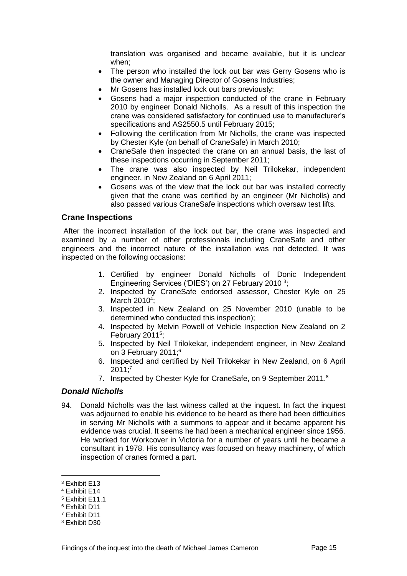translation was organised and became available, but it is unclear when;

- The person who installed the lock out bar was Gerry Gosens who is the owner and Managing Director of Gosens Industries;
- Mr Gosens has installed lock out bars previously;
- Gosens had a major inspection conducted of the crane in February 2010 by engineer Donald Nicholls. As a result of this inspection the crane was considered satisfactory for continued use to manufacturer's specifications and AS2550.5 until February 2015;
- Following the certification from Mr Nicholls, the crane was inspected by Chester Kyle (on behalf of CraneSafe) in March 2010;
- CraneSafe then inspected the crane on an annual basis, the last of these inspections occurring in September 2011;
- The crane was also inspected by Neil Trilokekar, independent engineer, in New Zealand on 6 April 2011;
- Gosens was of the view that the lock out bar was installed correctly given that the crane was certified by an engineer (Mr Nicholls) and also passed various CraneSafe inspections which oversaw test lifts.

#### <span id="page-16-0"></span>**Crane Inspections**

After the incorrect installation of the lock out bar, the crane was inspected and examined by a number of other professionals including CraneSafe and other engineers and the incorrect nature of the installation was not detected. It was inspected on the following occasions:

- 1. Certified by engineer Donald Nicholls of Donic Independent Engineering Services ('DIES') on 27 February 2010<sup>3</sup>;
- 2. Inspected by CraneSafe endorsed assessor, Chester Kyle on 25 March 2010<sup>4</sup>;
- 3. Inspected in New Zealand on 25 November 2010 (unable to be determined who conducted this inspection);
- 4. Inspected by Melvin Powell of Vehicle Inspection New Zealand on 2 February 2011<sup>5</sup>;
- 5. Inspected by Neil Trilokekar, independent engineer, in New Zealand on 3 February 2011;<sup>6</sup>
- 6. Inspected and certified by Neil Trilokekar in New Zealand, on 6 April  $2011;^7$
- 7. Inspected by Chester Kyle for CraneSafe, on 9 September 2011.<sup>8</sup>

#### *Donald Nicholls*

94. Donald Nicholls was the last witness called at the inquest. In fact the inquest was adjourned to enable his evidence to be heard as there had been difficulties in serving Mr Nicholls with a summons to appear and it became apparent his evidence was crucial. It seems he had been a mechanical engineer since 1956. He worked for Workcover in Victoria for a number of years until he became a consultant in 1978. His consultancy was focused on heavy machinery, of which inspection of cranes formed a part.

<sup>3</sup> Exhibit E13

<sup>4</sup> Exhibit E14

<sup>5</sup> Exhibit E11.1

<sup>6</sup> Exhibit D11

<sup>7</sup> Exhibit D11

<sup>8</sup> Exhibit D30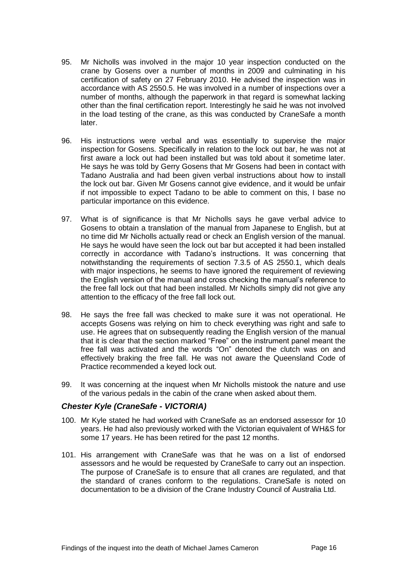- 95. Mr Nicholls was involved in the major 10 year inspection conducted on the crane by Gosens over a number of months in 2009 and culminating in his certification of safety on 27 February 2010. He advised the inspection was in accordance with AS 2550.5. He was involved in a number of inspections over a number of months, although the paperwork in that regard is somewhat lacking other than the final certification report. Interestingly he said he was not involved in the load testing of the crane, as this was conducted by CraneSafe a month later.
- 96. His instructions were verbal and was essentially to supervise the major inspection for Gosens. Specifically in relation to the lock out bar, he was not at first aware a lock out had been installed but was told about it sometime later. He says he was told by Gerry Gosens that Mr Gosens had been in contact with Tadano Australia and had been given verbal instructions about how to install the lock out bar. Given Mr Gosens cannot give evidence, and it would be unfair if not impossible to expect Tadano to be able to comment on this, I base no particular importance on this evidence.
- 97. What is of significance is that Mr Nicholls says he gave verbal advice to Gosens to obtain a translation of the manual from Japanese to English, but at no time did Mr Nicholls actually read or check an English version of the manual. He says he would have seen the lock out bar but accepted it had been installed correctly in accordance with Tadano's instructions. It was concerning that notwithstanding the requirements of section 7.3.5 of AS 2550.1, which deals with major inspections, he seems to have ignored the requirement of reviewing the English version of the manual and cross checking the manual's reference to the free fall lock out that had been installed. Mr Nicholls simply did not give any attention to the efficacy of the free fall lock out.
- 98. He says the free fall was checked to make sure it was not operational. He accepts Gosens was relying on him to check everything was right and safe to use. He agrees that on subsequently reading the English version of the manual that it is clear that the section marked "Free" on the instrument panel meant the free fall was activated and the words "On" denoted the clutch was on and effectively braking the free fall. He was not aware the Queensland Code of Practice recommended a keyed lock out.
- 99. It was concerning at the inquest when Mr Nicholls mistook the nature and use of the various pedals in the cabin of the crane when asked about them.

#### *Chester Kyle (CraneSafe - VICTORIA)*

- 100. Mr Kyle stated he had worked with CraneSafe as an endorsed assessor for 10 years. He had also previously worked with the Victorian equivalent of WH&S for some 17 years. He has been retired for the past 12 months.
- 101. His arrangement with CraneSafe was that he was on a list of endorsed assessors and he would be requested by CraneSafe to carry out an inspection. The purpose of CraneSafe is to ensure that all cranes are regulated, and that the standard of cranes conform to the regulations. CraneSafe is noted on documentation to be a division of the Crane Industry Council of Australia Ltd.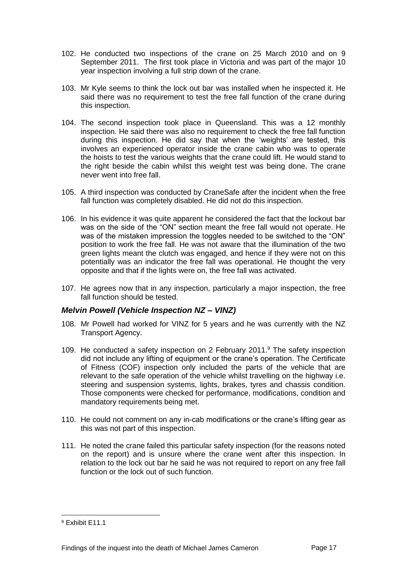- 102. He conducted two inspections of the crane on 25 March 2010 and on 9 September 2011. The first took place in Victoria and was part of the major 10 year inspection involving a full strip down of the crane.
- 103. Mr Kyle seems to think the lock out bar was installed when he inspected it. He said there was no requirement to test the free fall function of the crane during this inspection.
- 104. The second inspection took place in Queensland. This was a 12 monthly inspection. He said there was also no requirement to check the free fall function during this inspection. He did say that when the 'weights' are tested, this involves an experienced operator inside the crane cabin who was to operate the hoists to test the various weights that the crane could lift. He would stand to the right beside the cabin whilst this weight test was being done. The crane never went into free fall.
- 105. A third inspection was conducted by CraneSafe after the incident when the free fall function was completely disabled. He did not do this inspection.
- 106. In his evidence it was quite apparent he considered the fact that the lockout bar was on the side of the "ON" section meant the free fall would not operate. He was of the mistaken impression the toggles needed to be switched to the "ON" position to work the free fall. He was not aware that the illumination of the two green lights meant the clutch was engaged, and hence if they were not on this potentially was an indicator the free fall was operational. He thought the very opposite and that if the lights were on, the free fall was activated.
- 107. He agrees now that in any inspection, particularly a major inspection, the free fall function should be tested.

#### *Melvin Powell (Vehicle Inspection NZ – VINZ)*

- 108. Mr Powell had worked for VINZ for 5 years and he was currently with the NZ Transport Agency.
- 109. He conducted a safety inspection on 2 February 2011. <sup>9</sup> The safety inspection did not include any lifting of equipment or the crane's operation. The Certificate of Fitness (COF) inspection only included the parts of the vehicle that are relevant to the safe operation of the vehicle whilst travelling on the highway i.e. steering and suspension systems, lights, brakes, tyres and chassis condition. Those components were checked for performance, modifications, condition and mandatory requirements being met.
- 110. He could not comment on any in-cab modifications or the crane's lifting gear as this was not part of this inspection.
- 111. He noted the crane failed this particular safety inspection (for the reasons noted on the report) and is unsure where the crane went after this inspection. In relation to the lock out bar he said he was not required to report on any free fall function or the lock out of such function.

<sup>&</sup>lt;sup>9</sup> Fxhibit F11.1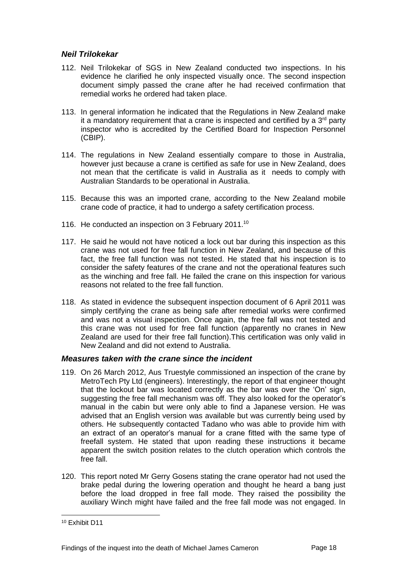#### *Neil Trilokekar*

- 112. Neil Trilokekar of SGS in New Zealand conducted two inspections. In his evidence he clarified he only inspected visually once. The second inspection document simply passed the crane after he had received confirmation that remedial works he ordered had taken place.
- 113. In general information he indicated that the Regulations in New Zealand make it a mandatory requirement that a crane is inspected and certified by a  $3<sup>rd</sup>$  party inspector who is accredited by the Certified Board for Inspection Personnel (CBIP).
- 114. The regulations in New Zealand essentially compare to those in Australia, however just because a crane is certified as safe for use in New Zealand, does not mean that the certificate is valid in Australia as it needs to comply with Australian Standards to be operational in Australia.
- 115. Because this was an imported crane, according to the New Zealand mobile crane code of practice, it had to undergo a safety certification process.
- 116. He conducted an inspection on 3 February 2011.<sup>10</sup>
- 117. He said he would not have noticed a lock out bar during this inspection as this crane was not used for free fall function in New Zealand, and because of this fact, the free fall function was not tested. He stated that his inspection is to consider the safety features of the crane and not the operational features such as the winching and free fall. He failed the crane on this inspection for various reasons not related to the free fall function.
- 118. As stated in evidence the subsequent inspection document of 6 April 2011 was simply certifying the crane as being safe after remedial works were confirmed and was not a visual inspection. Once again, the free fall was not tested and this crane was not used for free fall function (apparently no cranes in New Zealand are used for their free fall function).This certification was only valid in New Zealand and did not extend to Australia.

#### *Measures taken with the crane since the incident*

- 119. On 26 March 2012, Aus Truestyle commissioned an inspection of the crane by MetroTech Pty Ltd (engineers). Interestingly, the report of that engineer thought that the lockout bar was located correctly as the bar was over the 'On' sign, suggesting the free fall mechanism was off. They also looked for the operator's manual in the cabin but were only able to find a Japanese version. He was advised that an English version was available but was currently being used by others. He subsequently contacted Tadano who was able to provide him with an extract of an operator's manual for a crane fitted with the same type of freefall system. He stated that upon reading these instructions it became apparent the switch position relates to the clutch operation which controls the free fall.
- 120. This report noted Mr Gerry Gosens stating the crane operator had not used the brake pedal during the lowering operation and thought he heard a bang just before the load dropped in free fall mode. They raised the possibility the auxiliary Winch might have failed and the free fall mode was not engaged. In

<sup>10</sup> Exhibit D11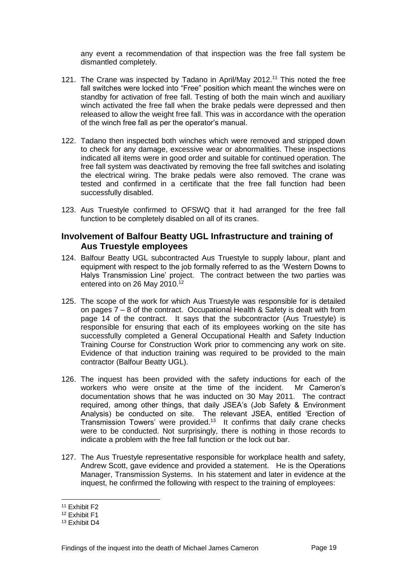any event a recommendation of that inspection was the free fall system be dismantled completely.

- 121. The Crane was inspected by Tadano in April/May 2012.<sup>11</sup> This noted the free fall switches were locked into "Free" position which meant the winches were on standby for activation of free fall. Testing of both the main winch and auxiliary winch activated the free fall when the brake pedals were depressed and then released to allow the weight free fall. This was in accordance with the operation of the winch free fall as per the operator's manual.
- 122. Tadano then inspected both winches which were removed and stripped down to check for any damage, excessive wear or abnormalities. These inspections indicated all items were in good order and suitable for continued operation. The free fall system was deactivated by removing the free fall switches and isolating the electrical wiring. The brake pedals were also removed. The crane was tested and confirmed in a certificate that the free fall function had been successfully disabled.
- 123. Aus Truestyle confirmed to OFSWQ that it had arranged for the free fall function to be completely disabled on all of its cranes.

#### <span id="page-20-0"></span>**Involvement of Balfour Beatty UGL Infrastructure and training of Aus Truestyle employees**

- 124. Balfour Beatty UGL subcontracted Aus Truestyle to supply labour, plant and equipment with respect to the job formally referred to as the 'Western Downs to Halys Transmission Line' project. The contract between the two parties was entered into on 26 May 2010. 12
- 125. The scope of the work for which Aus Truestyle was responsible for is detailed on pages 7 – 8 of the contract. Occupational Health & Safety is dealt with from page 14 of the contract. It says that the subcontractor (Aus Truestyle) is responsible for ensuring that each of its employees working on the site has successfully completed a General Occupational Health and Safety Induction Training Course for Construction Work prior to commencing any work on site. Evidence of that induction training was required to be provided to the main contractor (Balfour Beatty UGL).
- 126. The inquest has been provided with the safety inductions for each of the workers who were onsite at the time of the incident. Mr Cameron's documentation shows that he was inducted on 30 May 2011. The contract required, among other things, that daily JSEA's (Job Safety & Environment Analysis) be conducted on site. The relevant JSEA, entitled 'Erection of Transmission Towers' were provided.<sup>13</sup> It confirms that daily crane checks were to be conducted. Not surprisingly, there is nothing in those records to indicate a problem with the free fall function or the lock out bar.
- 127. The Aus Truestyle representative responsible for workplace health and safety, Andrew Scott, gave evidence and provided a statement. He is the Operations Manager, Transmission Systems. In his statement and later in evidence at the inquest, he confirmed the following with respect to the training of employees:

<sup>11</sup> Exhibit F2

<sup>12</sup> Exhibit F1

<sup>13</sup> Exhibit D4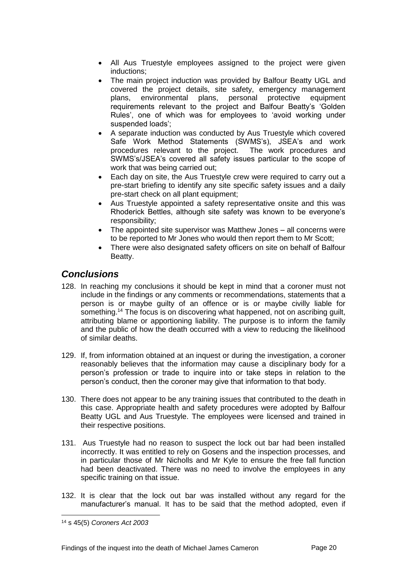- All Aus Truestyle employees assigned to the project were given inductions;
- The main project induction was provided by Balfour Beatty UGL and covered the project details, site safety, emergency management plans, environmental plans, personal protective equipment requirements relevant to the project and Balfour Beatty's 'Golden Rules', one of which was for employees to 'avoid working under suspended loads';
- A separate induction was conducted by Aus Truestyle which covered Safe Work Method Statements (SWMS's), JSEA's and work procedures relevant to the project. The work procedures and SWMS's/JSEA's covered all safety issues particular to the scope of work that was being carried out;
- Each day on site, the Aus Truestyle crew were required to carry out a pre-start briefing to identify any site specific safety issues and a daily pre-start check on all plant equipment;
- Aus Truestyle appointed a safety representative onsite and this was Rhoderick Bettles, although site safety was known to be everyone's responsibility;
- The appointed site supervisor was Matthew Jones all concerns were to be reported to Mr Jones who would then report them to Mr Scott;
- There were also designated safety officers on site on behalf of Balfour Beatty.

# <span id="page-21-0"></span>*Conclusions*

- 128. In reaching my conclusions it should be kept in mind that a coroner must not include in the findings or any comments or recommendations, statements that a person is or maybe guilty of an offence or is or maybe civilly liable for something.<sup>14</sup> The focus is on discovering what happened, not on ascribing quilt, attributing blame or apportioning liability. The purpose is to inform the family and the public of how the death occurred with a view to reducing the likelihood of similar deaths.
- 129. If, from information obtained at an inquest or during the investigation, a coroner reasonably believes that the information may cause a disciplinary body for a person's profession or trade to inquire into or take steps in relation to the person's conduct, then the coroner may give that information to that body.
- 130. There does not appear to be any training issues that contributed to the death in this case. Appropriate health and safety procedures were adopted by Balfour Beatty UGL and Aus Truestyle. The employees were licensed and trained in their respective positions.
- 131. Aus Truestyle had no reason to suspect the lock out bar had been installed incorrectly. It was entitled to rely on Gosens and the inspection processes, and in particular those of Mr Nicholls and Mr Kyle to ensure the free fall function had been deactivated. There was no need to involve the employees in any specific training on that issue.
- 132. It is clear that the lock out bar was installed without any regard for the manufacturer's manual. It has to be said that the method adopted, even if

<sup>14</sup> s 45(5) *Coroners Act 2003*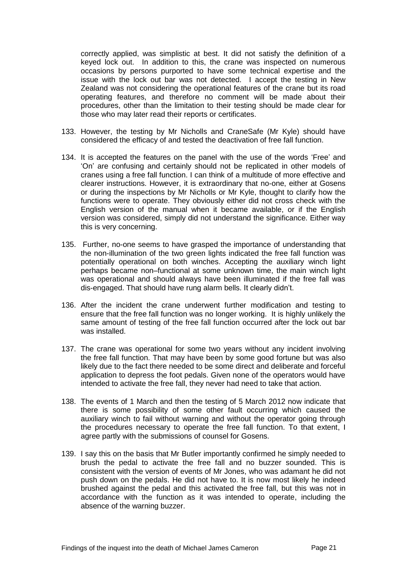correctly applied, was simplistic at best. It did not satisfy the definition of a keyed lock out. In addition to this, the crane was inspected on numerous occasions by persons purported to have some technical expertise and the issue with the lock out bar was not detected. I accept the testing in New Zealand was not considering the operational features of the crane but its road operating features, and therefore no comment will be made about their procedures, other than the limitation to their testing should be made clear for those who may later read their reports or certificates.

- 133. However, the testing by Mr Nicholls and CraneSafe (Mr Kyle) should have considered the efficacy of and tested the deactivation of free fall function.
- 134. It is accepted the features on the panel with the use of the words 'Free' and 'On' are confusing and certainly should not be replicated in other models of cranes using a free fall function. I can think of a multitude of more effective and clearer instructions. However, it is extraordinary that no-one, either at Gosens or during the inspections by Mr Nicholls or Mr Kyle, thought to clarify how the functions were to operate. They obviously either did not cross check with the English version of the manual when it became available, or if the English version was considered, simply did not understand the significance. Either way this is very concerning.
- 135. Further, no-one seems to have grasped the importance of understanding that the non-illumination of the two green lights indicated the free fall function was potentially operational on both winches. Accepting the auxiliary winch light perhaps became non–functional at some unknown time, the main winch light was operational and should always have been illuminated if the free fall was dis-engaged. That should have rung alarm bells. It clearly didn't.
- 136. After the incident the crane underwent further modification and testing to ensure that the free fall function was no longer working. It is highly unlikely the same amount of testing of the free fall function occurred after the lock out bar was installed.
- 137. The crane was operational for some two years without any incident involving the free fall function. That may have been by some good fortune but was also likely due to the fact there needed to be some direct and deliberate and forceful application to depress the foot pedals. Given none of the operators would have intended to activate the free fall, they never had need to take that action.
- 138. The events of 1 March and then the testing of 5 March 2012 now indicate that there is some possibility of some other fault occurring which caused the auxiliary winch to fail without warning and without the operator going through the procedures necessary to operate the free fall function. To that extent, I agree partly with the submissions of counsel for Gosens.
- 139. I say this on the basis that Mr Butler importantly confirmed he simply needed to brush the pedal to activate the free fall and no buzzer sounded. This is consistent with the version of events of Mr Jones, who was adamant he did not push down on the pedals. He did not have to. It is now most likely he indeed brushed against the pedal and this activated the free fall, but this was not in accordance with the function as it was intended to operate, including the absence of the warning buzzer.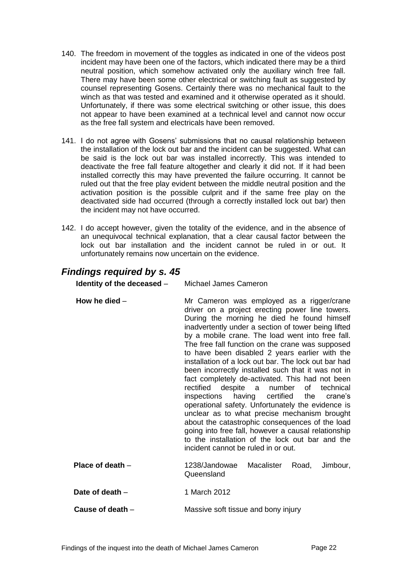- 140. The freedom in movement of the toggles as indicated in one of the videos post incident may have been one of the factors, which indicated there may be a third neutral position, which somehow activated only the auxiliary winch free fall. There may have been some other electrical or switching fault as suggested by counsel representing Gosens. Certainly there was no mechanical fault to the winch as that was tested and examined and it otherwise operated as it should. Unfortunately, if there was some electrical switching or other issue, this does not appear to have been examined at a technical level and cannot now occur as the free fall system and electricals have been removed.
- 141. I do not agree with Gosens' submissions that no causal relationship between the installation of the lock out bar and the incident can be suggested. What can be said is the lock out bar was installed incorrectly. This was intended to deactivate the free fall feature altogether and clearly it did not. If it had been installed correctly this may have prevented the failure occurring. It cannot be ruled out that the free play evident between the middle neutral position and the activation position is the possible culprit and if the same free play on the deactivated side had occurred (through a correctly installed lock out bar) then the incident may not have occurred.
- 142. I do accept however, given the totality of the evidence, and in the absence of an unequivocal technical explanation, that a clear causal factor between the lock out bar installation and the incident cannot be ruled in or out. It unfortunately remains now uncertain on the evidence.

# <span id="page-23-0"></span>*Findings required by s. 45*

<span id="page-23-5"></span><span id="page-23-4"></span><span id="page-23-3"></span><span id="page-23-2"></span><span id="page-23-1"></span>

| Identity of the deceased - | Michael James Cameron                                                                                                                                                                                                                                                                                                                                                                                                                                                                                                                                                                                                                                                                                                                                                                                                                                                                                                               |
|----------------------------|-------------------------------------------------------------------------------------------------------------------------------------------------------------------------------------------------------------------------------------------------------------------------------------------------------------------------------------------------------------------------------------------------------------------------------------------------------------------------------------------------------------------------------------------------------------------------------------------------------------------------------------------------------------------------------------------------------------------------------------------------------------------------------------------------------------------------------------------------------------------------------------------------------------------------------------|
| How he died $-$            | Mr Cameron was employed as a rigger/crane<br>driver on a project erecting power line towers.<br>During the morning he died he found himself<br>inadvertently under a section of tower being lifted<br>by a mobile crane. The load went into free fall.<br>The free fall function on the crane was supposed<br>to have been disabled 2 years earlier with the<br>installation of a lock out bar. The lock out bar had<br>been incorrectly installed such that it was not in<br>fact completely de-activated. This had not been<br>rectified despite a number of technical<br>having certified the<br>inspections<br>crane's<br>operational safety. Unfortunately the evidence is<br>unclear as to what precise mechanism brought<br>about the catastrophic consequences of the load<br>going into free fall, however a causal relationship<br>to the installation of the lock out bar and the<br>incident cannot be ruled in or out. |
| Place of death $-$         | 1238/Jandowae<br>Macalister<br>Road,<br>Jimbour,<br>Queensland                                                                                                                                                                                                                                                                                                                                                                                                                                                                                                                                                                                                                                                                                                                                                                                                                                                                      |
| Date of death $-$          | 1 March 2012                                                                                                                                                                                                                                                                                                                                                                                                                                                                                                                                                                                                                                                                                                                                                                                                                                                                                                                        |
| Cause of death -           | Massive soft tissue and bony injury                                                                                                                                                                                                                                                                                                                                                                                                                                                                                                                                                                                                                                                                                                                                                                                                                                                                                                 |